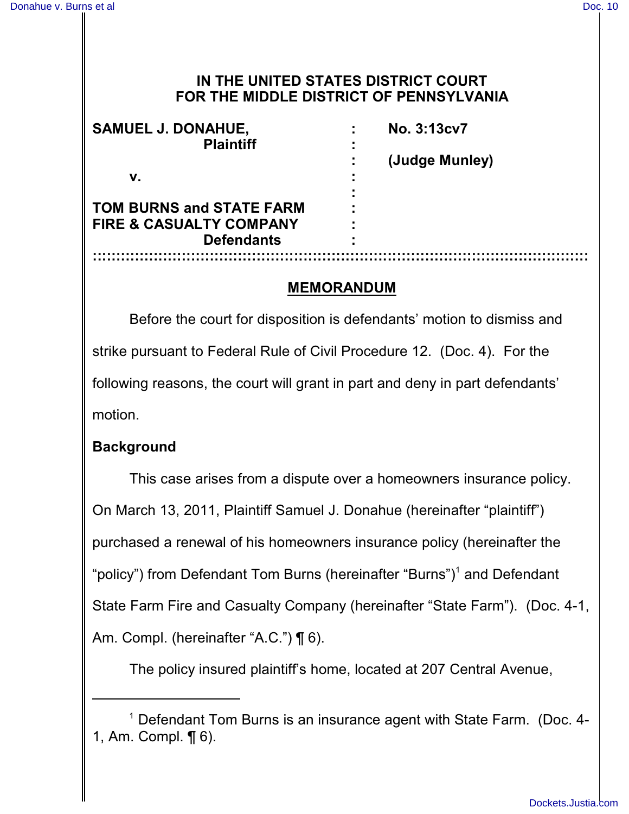## **IN THE UNITED STATES DISTRICT COURT FOR THE MIDDLE DISTRICT OF PENNSYLVANIA**

| <b>SAMUEL J. DONAHUE,</b><br><b>Plaintiff</b> | No. 3:13cv7    |
|-----------------------------------------------|----------------|
|                                               | (Judge Munley) |
| v.                                            |                |
| <b>TOM BURNS and STATE FARM</b>               |                |
| <b>FIRE &amp; CASUALTY COMPANY</b>            |                |
| <b>Defendants</b>                             |                |
|                                               |                |

### **MEMORANDUM**

Before the court for disposition is defendants' motion to dismiss and strike pursuant to Federal Rule of Civil Procedure 12. (Doc. 4). For the following reasons, the court will grant in part and deny in part defendants' motion.

## **Background**

This case arises from a dispute over a homeowners insurance policy. On March 13, 2011, Plaintiff Samuel J. Donahue (hereinafter "plaintiff") purchased a renewal of his homeowners insurance policy (hereinafter the "policy") from Defendant Tom Burns (hereinafter "Burns")<sup>1</sup> and Defendant State Farm Fire and Casualty Company (hereinafter "State Farm"). (Doc. 4-1, Am. Compl. (hereinafter "A.C.") ¶ 6).

The policy insured plaintiff's home, located at 207 Central Avenue,

<sup>&</sup>lt;sup>1</sup> Defendant Tom Burns is an insurance agent with State Farm. (Doc. 4-1, Am. Compl. ¶ 6).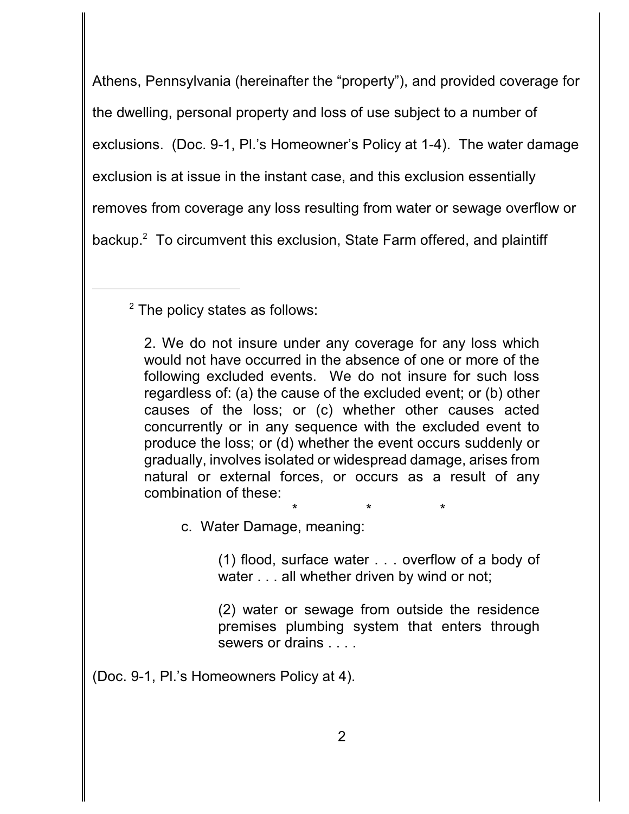Athens, Pennsylvania (hereinafter the "property"), and provided coverage for the dwelling, personal property and loss of use subject to a number of exclusions. (Doc. 9-1, Pl.'s Homeowner's Policy at 1-4). The water damage exclusion is at issue in the instant case, and this exclusion essentially removes from coverage any loss resulting from water or sewage overflow or backup. $2$  To circumvent this exclusion, State Farm offered, and plaintiff

 $2$  The policy states as follows:

2. We do not insure under any coverage for any loss which would not have occurred in the absence of one or more of the following excluded events. We do not insure for such loss regardless of: (a) the cause of the excluded event; or (b) other causes of the loss; or (c) whether other causes acted concurrently or in any sequence with the excluded event to produce the loss; or (d) whether the event occurs suddenly or gradually, involves isolated or widespread damage, arises from natural or external forces, or occurs as a result of any combination of these:

c. Water Damage, meaning:

(1) flood, surface water . . . overflow of a body of water . . . all whether driven by wind or not;

\* \* \*

(2) water or sewage from outside the residence premises plumbing system that enters through sewers or drains

(Doc. 9-1, Pl.'s Homeowners Policy at 4).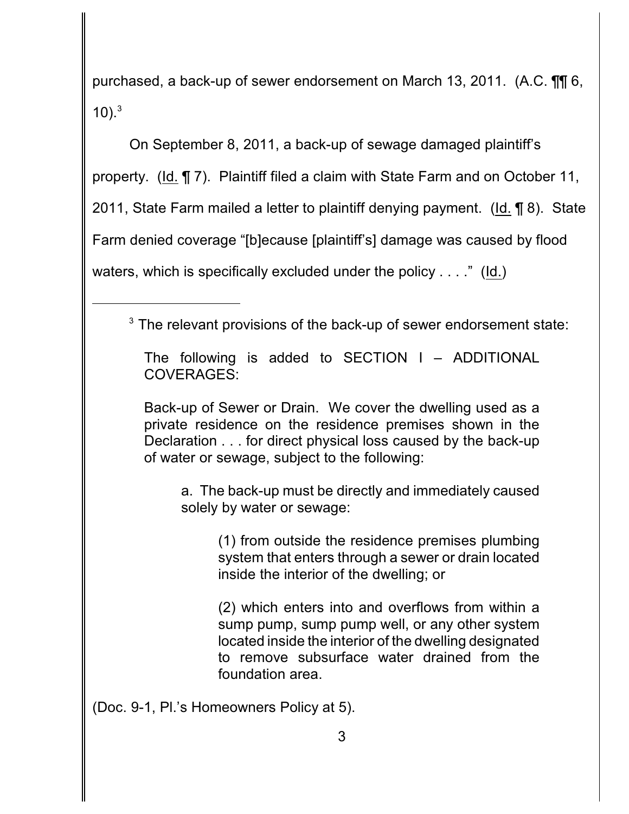purchased, a back-up of sewer endorsement on March 13, 2011. (A.C. ¶¶ 6, 10). $3$ 

On September 8, 2011, a back-up of sewage damaged plaintiff's property. (Id. ¶ 7). Plaintiff filed a claim with State Farm and on October 11, 2011, State Farm mailed a letter to plaintiff denying payment. (Id. ¶ 8). State Farm denied coverage "[b]ecause [plaintiff's] damage was caused by flood waters, which is specifically excluded under the policy . . . ." (Id.)

 $3$  The relevant provisions of the back-up of sewer endorsement state:

The following is added to SECTION I – ADDITIONAL COVERAGES:

Back-up of Sewer or Drain. We cover the dwelling used as a private residence on the residence premises shown in the Declaration . . . for direct physical loss caused by the back-up of water or sewage, subject to the following:

a. The back-up must be directly and immediately caused solely by water or sewage:

> (1) from outside the residence premises plumbing system that enters through a sewer or drain located inside the interior of the dwelling; or

> (2) which enters into and overflows from within a sump pump, sump pump well, or any other system located inside the interior of the dwelling designated to remove subsurface water drained from the foundation area.

(Doc. 9-1, Pl.'s Homeowners Policy at 5).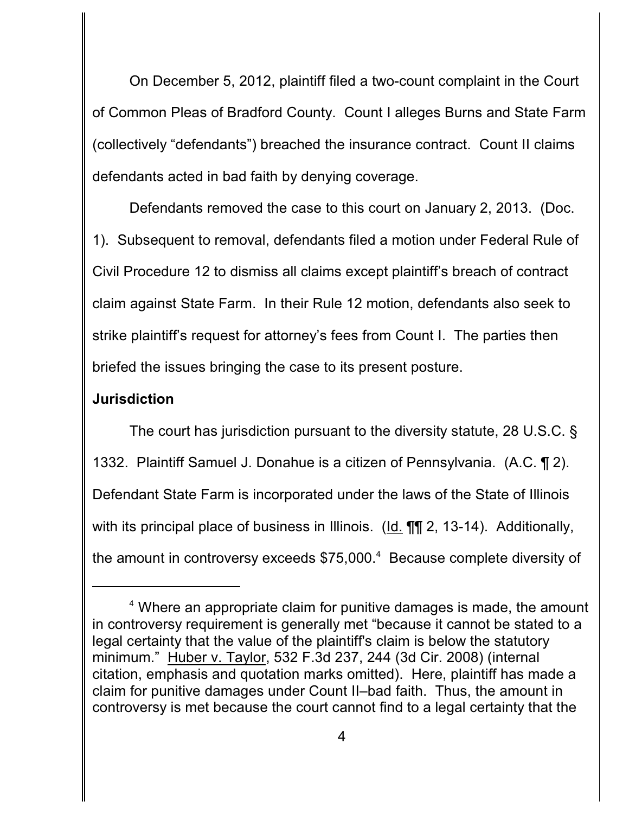On December 5, 2012, plaintiff filed a two-count complaint in the Court of Common Pleas of Bradford County. Count I alleges Burns and State Farm (collectively "defendants") breached the insurance contract. Count II claims defendants acted in bad faith by denying coverage.

Defendants removed the case to this court on January 2, 2013. (Doc. 1). Subsequent to removal, defendants filed a motion under Federal Rule of Civil Procedure 12 to dismiss all claims except plaintiff's breach of contract claim against State Farm. In their Rule 12 motion, defendants also seek to strike plaintiff's request for attorney's fees from Count I. The parties then briefed the issues bringing the case to its present posture.

## **Jurisdiction**

The court has jurisdiction pursuant to the diversity statute, 28 U.S.C. § 1332. Plaintiff Samuel J. Donahue is a citizen of Pennsylvania. (A.C. ¶ 2). Defendant State Farm is incorporated under the laws of the State of Illinois with its principal place of business in Illinois. (Id. **¶¶** 2, 13-14). Additionally, the amount in controversy exceeds  $$75,000<sup>4</sup>$  Because complete diversity of

 $4$  Where an appropriate claim for punitive damages is made, the amount in controversy requirement is generally met "because it cannot be stated to a legal certainty that the value of the plaintiff's claim is below the statutory minimum." Huber v. Taylor, 532 F.3d 237, 244 (3d Cir. 2008) (internal citation, emphasis and quotation marks omitted). Here, plaintiff has made a claim for punitive damages under Count II–bad faith. Thus, the amount in controversy is met because the court cannot find to a legal certainty that the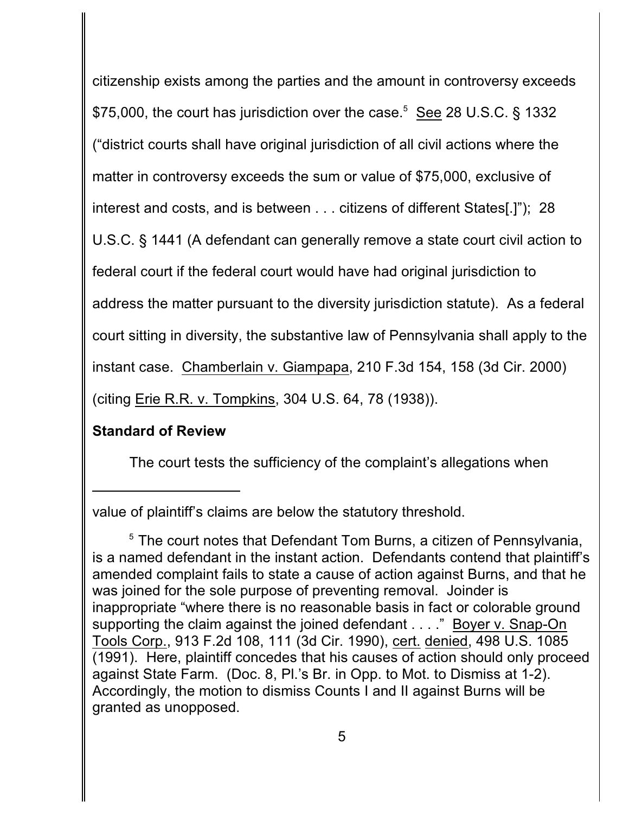citizenship exists among the parties and the amount in controversy exceeds \$75,000, the court has jurisdiction over the case.<sup>5</sup> See 28 U.S.C. § 1332 ("district courts shall have original jurisdiction of all civil actions where the matter in controversy exceeds the sum or value of \$75,000, exclusive of interest and costs, and is between . . . citizens of different States[.]"); 28 U.S.C. § 1441 (A defendant can generally remove a state court civil action to federal court if the federal court would have had original jurisdiction to address the matter pursuant to the diversity jurisdiction statute). As a federal court sitting in diversity, the substantive law of Pennsylvania shall apply to the instant case. Chamberlain v. Giampapa, 210 F.3d 154, 158 (3d Cir. 2000) (citing Erie R.R. v. Tompkins, 304 U.S. 64, 78 (1938)).

# **Standard of Review**

The court tests the sufficiency of the complaint's allegations when

value of plaintiff's claims are below the statutory threshold.

 $5$  The court notes that Defendant Tom Burns, a citizen of Pennsylvania, is a named defendant in the instant action. Defendants contend that plaintiff's amended complaint fails to state a cause of action against Burns, and that he was joined for the sole purpose of preventing removal. Joinder is inappropriate "where there is no reasonable basis in fact or colorable ground supporting the claim against the joined defendant . . . ." Boyer v. Snap-On Tools Corp., 913 F.2d 108, 111 (3d Cir. 1990), cert. denied, 498 U.S. 1085 (1991). Here, plaintiff concedes that his causes of action should only proceed against State Farm. (Doc. 8, Pl.'s Br. in Opp. to Mot. to Dismiss at 1-2). Accordingly, the motion to dismiss Counts I and II against Burns will be granted as unopposed.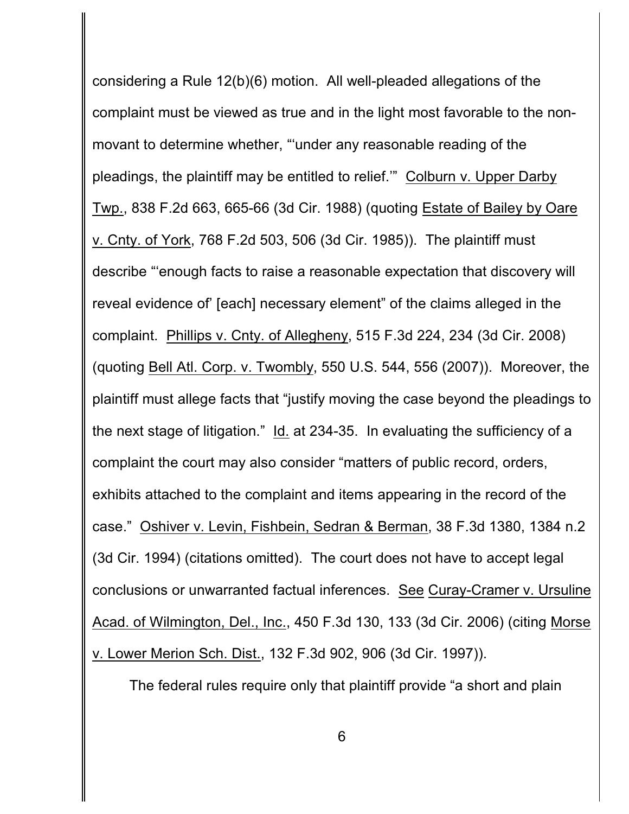considering a Rule 12(b)(6) motion. All well-pleaded allegations of the complaint must be viewed as true and in the light most favorable to the nonmovant to determine whether, "'under any reasonable reading of the pleadings, the plaintiff may be entitled to relief.'" Colburn v. Upper Darby Twp., 838 F.2d 663, 665-66 (3d Cir. 1988) (quoting Estate of Bailey by Oare v. Cnty. of York, 768 F.2d 503, 506 (3d Cir. 1985)). The plaintiff must describe "'enough facts to raise a reasonable expectation that discovery will reveal evidence of' [each] necessary element" of the claims alleged in the complaint. Phillips v. Cnty. of Allegheny, 515 F.3d 224, 234 (3d Cir. 2008) (quoting Bell Atl. Corp. v. Twombly, 550 U.S. 544, 556 (2007)). Moreover, the plaintiff must allege facts that "justify moving the case beyond the pleadings to the next stage of litigation." Id. at 234-35. In evaluating the sufficiency of a complaint the court may also consider "matters of public record, orders, exhibits attached to the complaint and items appearing in the record of the case." Oshiver v. Levin, Fishbein, Sedran & Berman, 38 F.3d 1380, 1384 n.2 (3d Cir. 1994) (citations omitted). The court does not have to accept legal conclusions or unwarranted factual inferences. See Curay-Cramer v. Ursuline Acad. of Wilmington, Del., Inc., 450 F.3d 130, 133 (3d Cir. 2006) (citing Morse v. Lower Merion Sch. Dist., 132 F.3d 902, 906 (3d Cir. 1997)).

The federal rules require only that plaintiff provide "a short and plain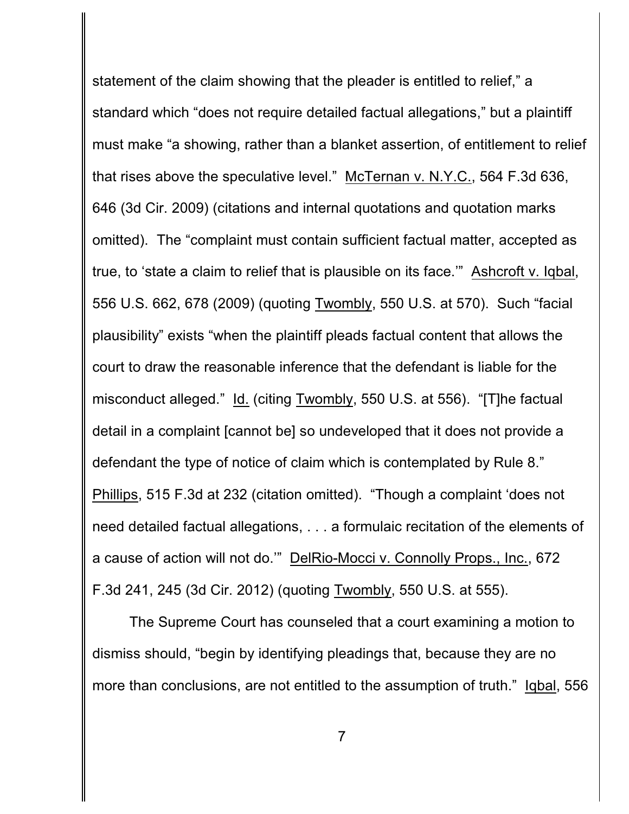statement of the claim showing that the pleader is entitled to relief," a standard which "does not require detailed factual allegations," but a plaintiff must make "a showing, rather than a blanket assertion, of entitlement to relief that rises above the speculative level." McTernan v. N.Y.C., 564 F.3d 636, 646 (3d Cir. 2009) (citations and internal quotations and quotation marks omitted). The "complaint must contain sufficient factual matter, accepted as true, to 'state a claim to relief that is plausible on its face.'" Ashcroft v. Iqbal, 556 U.S. 662, 678 (2009) (quoting Twombly, 550 U.S. at 570). Such "facial plausibility" exists "when the plaintiff pleads factual content that allows the court to draw the reasonable inference that the defendant is liable for the misconduct alleged." Id. (citing Twombly, 550 U.S. at 556). "[T]he factual detail in a complaint [cannot be] so undeveloped that it does not provide a defendant the type of notice of claim which is contemplated by Rule 8." Phillips, 515 F.3d at 232 (citation omitted). "Though a complaint 'does not need detailed factual allegations, . . . a formulaic recitation of the elements of a cause of action will not do.'" DelRio-Mocci v. Connolly Props., Inc., 672 F.3d 241, 245 (3d Cir. 2012) (quoting Twombly, 550 U.S. at 555).

The Supreme Court has counseled that a court examining a motion to dismiss should, "begin by identifying pleadings that, because they are no more than conclusions, are not entitled to the assumption of truth." Iqbal, 556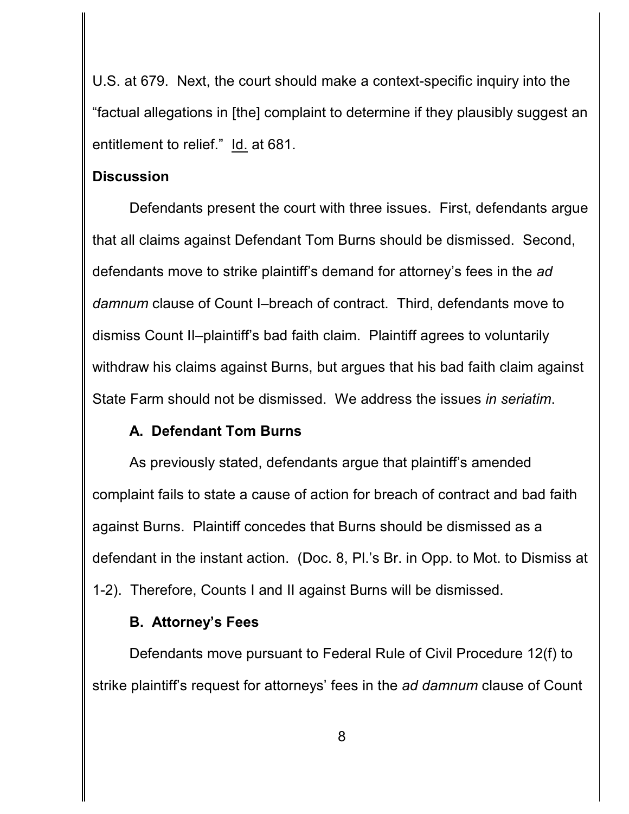U.S. at 679. Next, the court should make a context-specific inquiry into the "factual allegations in [the] complaint to determine if they plausibly suggest an entitlement to relief." Id. at 681.

### **Discussion**

Defendants present the court with three issues. First, defendants argue that all claims against Defendant Tom Burns should be dismissed. Second, defendants move to strike plaintiff's demand for attorney's fees in the *ad damnum* clause of Count I–breach of contract. Third, defendants move to dismiss Count II–plaintiff's bad faith claim. Plaintiff agrees to voluntarily withdraw his claims against Burns, but argues that his bad faith claim against State Farm should not be dismissed. We address the issues *in seriatim*.

# **A. Defendant Tom Burns**

As previously stated, defendants argue that plaintiff's amended complaint fails to state a cause of action for breach of contract and bad faith against Burns. Plaintiff concedes that Burns should be dismissed as a defendant in the instant action. (Doc. 8, Pl.'s Br. in Opp. to Mot. to Dismiss at 1-2). Therefore, Counts I and II against Burns will be dismissed.

## **B. Attorney's Fees**

Defendants move pursuant to Federal Rule of Civil Procedure 12(f) to strike plaintiff's request for attorneys' fees in the *ad damnum* clause of Count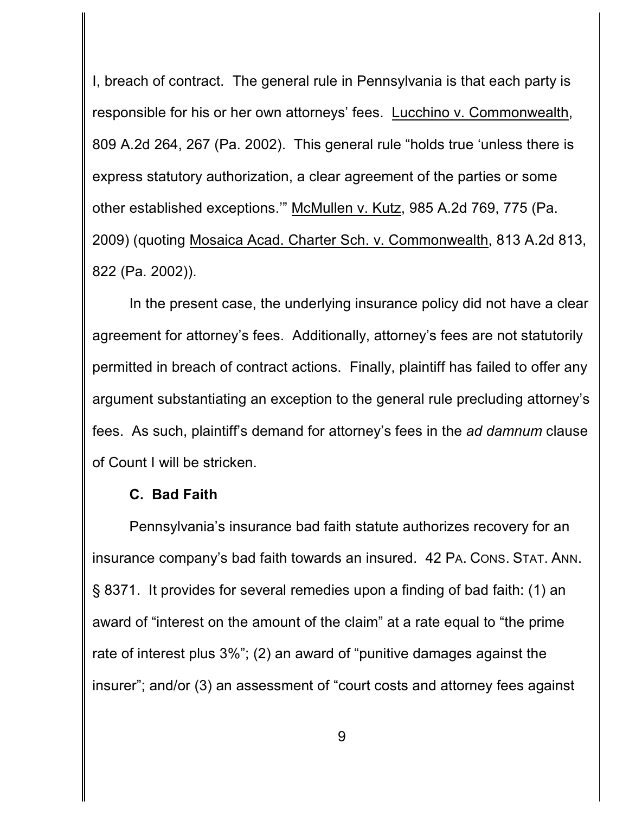I, breach of contract. The general rule in Pennsylvania is that each party is responsible for his or her own attorneys' fees. Lucchino v. Commonwealth, 809 A.2d 264, 267 (Pa. 2002). This general rule "holds true 'unless there is express statutory authorization, a clear agreement of the parties or some other established exceptions.'" McMullen v. Kutz, 985 A.2d 769, 775 (Pa. 2009) (quoting Mosaica Acad. Charter Sch. v. Commonwealth, 813 A.2d 813, 822 (Pa. 2002)).

In the present case, the underlying insurance policy did not have a clear agreement for attorney's fees. Additionally, attorney's fees are not statutorily permitted in breach of contract actions. Finally, plaintiff has failed to offer any argument substantiating an exception to the general rule precluding attorney's fees. As such, plaintiff's demand for attorney's fees in the *ad damnum* clause of Count I will be stricken.

#### **C. Bad Faith**

Pennsylvania's insurance bad faith statute authorizes recovery for an insurance company's bad faith towards an insured. 42 PA. CONS. STAT. ANN. § 8371. It provides for several remedies upon a finding of bad faith: (1) an award of "interest on the amount of the claim" at a rate equal to "the prime rate of interest plus 3%"; (2) an award of "punitive damages against the insurer"; and/or (3) an assessment of "court costs and attorney fees against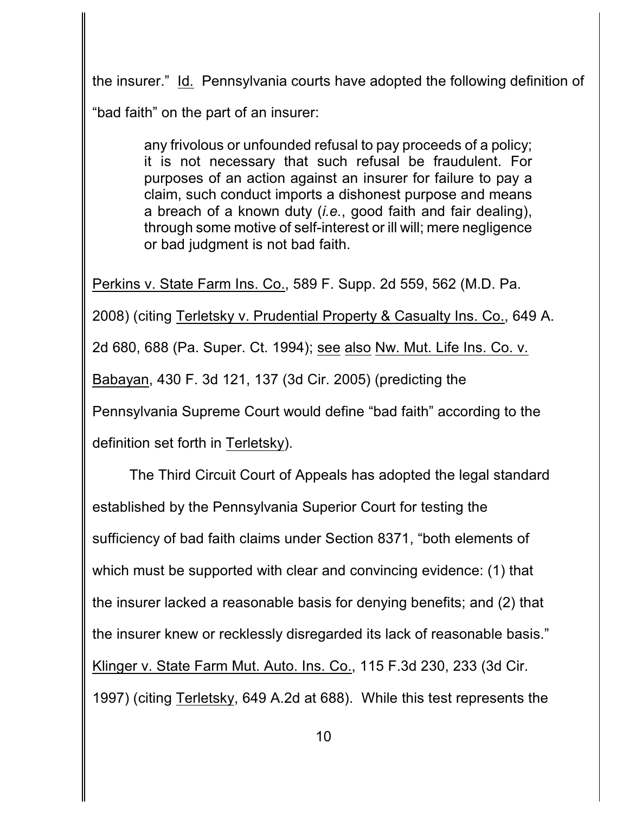the insurer." Id. Pennsylvania courts have adopted the following definition of "bad faith" on the part of an insurer:

> any frivolous or unfounded refusal to pay proceeds of a policy; it is not necessary that such refusal be fraudulent. For purposes of an action against an insurer for failure to pay a claim, such conduct imports a dishonest purpose and means a breach of a known duty (*i.e.*, good faith and fair dealing), through some motive of self-interest or ill will; mere negligence or bad judgment is not bad faith.

Perkins v. State Farm Ins. Co., 589 F. Supp. 2d 559, 562 (M.D. Pa.

2008) (citing Terletsky v. Prudential Property & Casualty Ins. Co., 649 A. 2d 680, 688 (Pa. Super. Ct. 1994); see also Nw. Mut. Life Ins. Co. v. Babayan, 430 F. 3d 121, 137 (3d Cir. 2005) (predicting the Pennsylvania Supreme Court would define "bad faith" according to the definition set forth in Terletsky).

The Third Circuit Court of Appeals has adopted the legal standard established by the Pennsylvania Superior Court for testing the sufficiency of bad faith claims under Section 8371, "both elements of which must be supported with clear and convincing evidence: (1) that the insurer lacked a reasonable basis for denying benefits; and (2) that the insurer knew or recklessly disregarded its lack of reasonable basis." Klinger v. State Farm Mut. Auto. Ins. Co., 115 F.3d 230, 233 (3d Cir. 1997) (citing Terletsky, 649 A.2d at 688). While this test represents the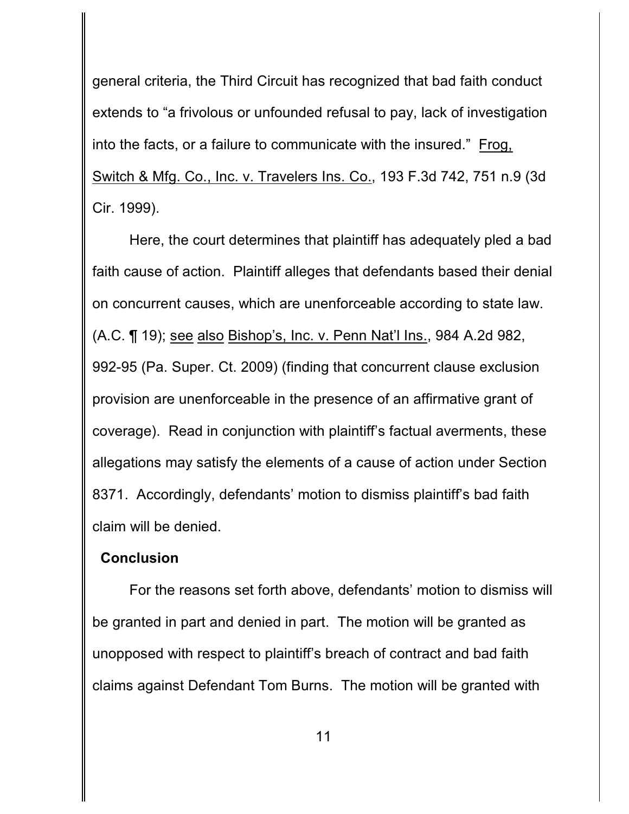general criteria, the Third Circuit has recognized that bad faith conduct extends to "a frivolous or unfounded refusal to pay, lack of investigation into the facts, or a failure to communicate with the insured." Frog, Switch & Mfg. Co., Inc. v. Travelers Ins. Co., 193 F.3d 742, 751 n.9 (3d Cir. 1999).

Here, the court determines that plaintiff has adequately pled a bad faith cause of action. Plaintiff alleges that defendants based their denial on concurrent causes, which are unenforceable according to state law. (A.C. ¶ 19); see also Bishop's, Inc. v. Penn Nat'l Ins., 984 A.2d 982, 992-95 (Pa. Super. Ct. 2009) (finding that concurrent clause exclusion provision are unenforceable in the presence of an affirmative grant of coverage). Read in conjunction with plaintiff's factual averments, these allegations may satisfy the elements of a cause of action under Section 8371. Accordingly, defendants' motion to dismiss plaintiff's bad faith claim will be denied.

#### **Conclusion**

For the reasons set forth above, defendants' motion to dismiss will be granted in part and denied in part. The motion will be granted as unopposed with respect to plaintiff's breach of contract and bad faith claims against Defendant Tom Burns. The motion will be granted with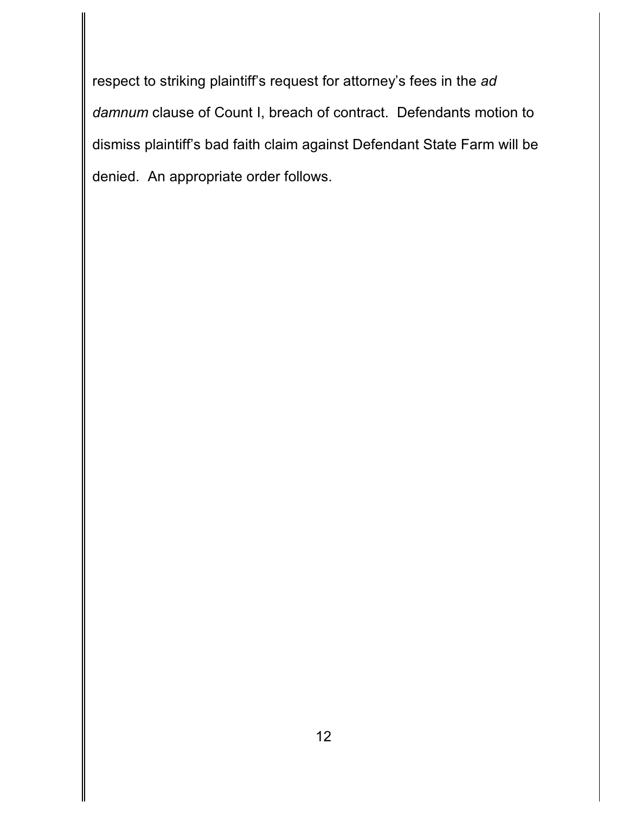respect to striking plaintiff's request for attorney's fees in the *ad damnum* clause of Count I, breach of contract. Defendants motion to dismiss plaintiff's bad faith claim against Defendant State Farm will be denied. An appropriate order follows.